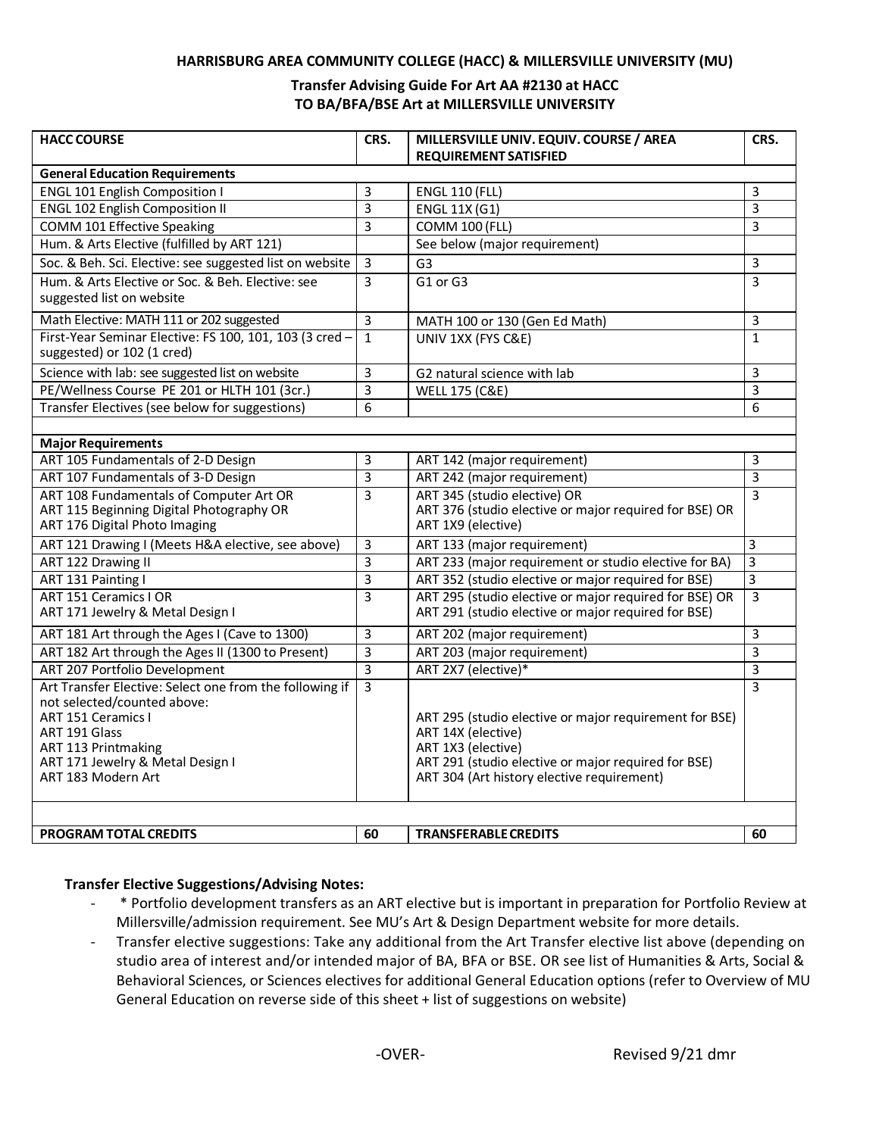#### **HARRISBURG AREA COMMUNITY COLLEGE (HACC) & MILLERSVILLE UNIVERSITY (MU)**

### **Transfer Advising Guide For Art AA #2130 at HACC TO BA/BFA/BSE Art at MILLERSVILLE UNIVERSITY**

| <b>HACC COURSE</b>                                                                                                                                                                                                    | CRS.           | MILLERSVILLE UNIV. EQUIV. COURSE / AREA<br><b>REQUIREMENT SATISFIED</b>                                                                                                                                 | CRS.           |
|-----------------------------------------------------------------------------------------------------------------------------------------------------------------------------------------------------------------------|----------------|---------------------------------------------------------------------------------------------------------------------------------------------------------------------------------------------------------|----------------|
| <b>General Education Requirements</b>                                                                                                                                                                                 |                |                                                                                                                                                                                                         |                |
| <b>ENGL 101 English Composition I</b>                                                                                                                                                                                 | 3              | <b>ENGL 110 (FLL)</b>                                                                                                                                                                                   | 3              |
| <b>ENGL 102 English Composition II</b>                                                                                                                                                                                | 3              | <b>ENGL 11X (G1)</b>                                                                                                                                                                                    | 3              |
| <b>COMM 101 Effective Speaking</b>                                                                                                                                                                                    | 3              | <b>COMM 100 (FLL)</b>                                                                                                                                                                                   | 3              |
| Hum. & Arts Elective (fulfilled by ART 121)                                                                                                                                                                           |                | See below (major requirement)                                                                                                                                                                           |                |
| Soc. & Beh. Sci. Elective: see suggested list on website                                                                                                                                                              | $\overline{3}$ | G <sub>3</sub>                                                                                                                                                                                          | 3              |
| Hum. & Arts Elective or Soc. & Beh. Elective: see<br>suggested list on website                                                                                                                                        | $\overline{3}$ | G1 or G3                                                                                                                                                                                                | 3              |
| Math Elective: MATH 111 or 202 suggested                                                                                                                                                                              | $\mathbf{3}$   | MATH 100 or 130 (Gen Ed Math)                                                                                                                                                                           | 3              |
| First-Year Seminar Elective: FS 100, 101, 103 (3 cred -<br>suggested) or 102 (1 cred)                                                                                                                                 | $\mathbf{1}$   | UNIV 1XX (FYS C&E)                                                                                                                                                                                      | $\mathbf{1}$   |
| Science with lab: see suggested list on website                                                                                                                                                                       | 3              | G2 natural science with lab                                                                                                                                                                             | 3              |
| PE/Wellness Course PE 201 or HLTH 101 (3cr.)                                                                                                                                                                          | 3              | <b>WELL 175 (C&amp;E)</b>                                                                                                                                                                               | 3              |
| Transfer Electives (see below for suggestions)                                                                                                                                                                        | 6              |                                                                                                                                                                                                         | 6              |
|                                                                                                                                                                                                                       |                |                                                                                                                                                                                                         |                |
| <b>Major Requirements</b>                                                                                                                                                                                             |                |                                                                                                                                                                                                         |                |
| ART 105 Fundamentals of 2-D Design                                                                                                                                                                                    | 3              | ART 142 (major requirement)                                                                                                                                                                             | 3              |
| ART 107 Fundamentals of 3-D Design                                                                                                                                                                                    | 3              | ART 242 (major requirement)                                                                                                                                                                             | 3              |
| ART 108 Fundamentals of Computer Art OR<br>ART 115 Beginning Digital Photography OR<br>ART 176 Digital Photo Imaging                                                                                                  | 3              | ART 345 (studio elective) OR<br>ART 376 (studio elective or major required for BSE) OR<br>ART 1X9 (elective)                                                                                            | 3              |
| ART 121 Drawing I (Meets H&A elective, see above)                                                                                                                                                                     | 3              | ART 133 (major requirement)                                                                                                                                                                             | 3              |
| ART 122 Drawing II                                                                                                                                                                                                    | 3              | ART 233 (major requirement or studio elective for BA)                                                                                                                                                   | 3              |
| ART 131 Painting I                                                                                                                                                                                                    | $\overline{3}$ | ART 352 (studio elective or major required for BSE)                                                                                                                                                     | $\overline{3}$ |
| ART 151 Ceramics I OR<br>ART 171 Jewelry & Metal Design I                                                                                                                                                             | $\overline{3}$ | ART 295 (studio elective or major required for BSE) OR<br>ART 291 (studio elective or major required for BSE)                                                                                           | 3              |
| ART 181 Art through the Ages I (Cave to 1300)                                                                                                                                                                         | 3              | ART 202 (major requirement)                                                                                                                                                                             | 3              |
| ART 182 Art through the Ages II (1300 to Present)                                                                                                                                                                     | 3              | ART 203 (major requirement)                                                                                                                                                                             | $\overline{3}$ |
| ART 207 Portfolio Development                                                                                                                                                                                         | 3              | ART 2X7 (elective)*                                                                                                                                                                                     | 3              |
| Art Transfer Elective: Select one from the following if<br>not selected/counted above:<br><b>ART 151 Ceramics I</b><br>ART 191 Glass<br>ART 113 Printmaking<br>ART 171 Jewelry & Metal Design I<br>ART 183 Modern Art | $\overline{3}$ | ART 295 (studio elective or major requirement for BSE)<br>ART 14X (elective)<br>ART 1X3 (elective)<br>ART 291 (studio elective or major required for BSE)<br>ART 304 (Art history elective requirement) | $\overline{3}$ |
| <b>PROGRAM TOTAL CREDITS</b>                                                                                                                                                                                          | 60             | <b>TRANSFERABLE CREDITS</b>                                                                                                                                                                             | 60             |

### **Transfer Elective Suggestions/Advising Notes:**

- \* Portfolio development transfers as an ART elective but is important in preparation for Portfolio Review at Millersville/admission requirement. See MU's Art & Design Department website for more details.
- Transfer elective suggestions: Take any additional from the Art Transfer elective list above (depending on studio area of interest and/or intended major of BA, BFA or BSE. OR see list of Humanities & Arts, Social & Behavioral Sciences, or Sciences electives for additional General Education options (refer to Overview of MU General Education on reverse side of this sheet + list of suggestions on website)